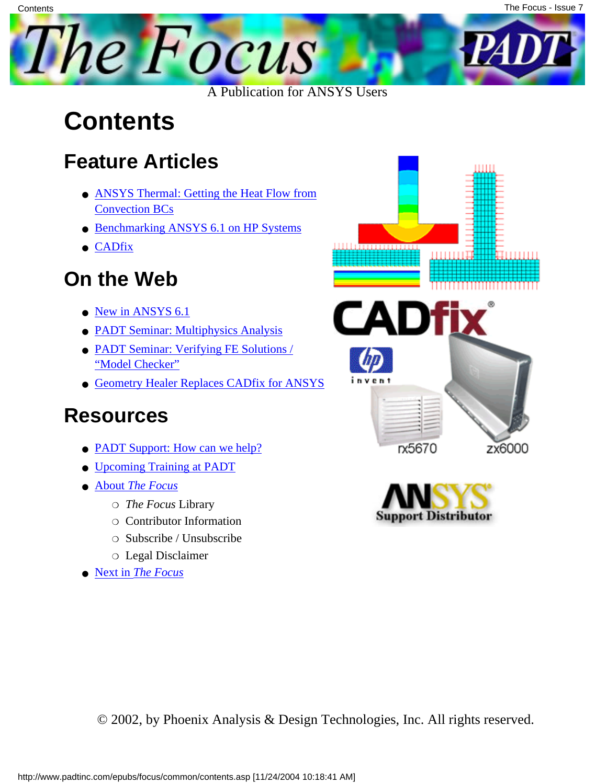

### **Contents**

**Contents** 

#### **Feature Articles**

- **[ANSYS Thermal: Getting the Heat Flow from](#page-1-0)** [Convection BCs](#page-1-0)
- [Benchmarking ANSYS 6.1 on HP Systems](#page-8-0)
- [CADfix](#page-18-0)

#### **On the Web**

- [New in ANSYS 6.1](http://www.padtinc.com/epubs/focus/2002/0007_0719/extra1.htm)
- [PADT Seminar: Multiphysics Analysis](http://www.padtinc.com/epubs/focus/2002/0007_0719/extra2.htm)
- [PADT Seminar: Verifying FE Solutions /](http://www.padtinc.com/epubs/focus/2002/0007_0719/extra3.htm) ["Model Checker"](http://www.padtinc.com/epubs/focus/2002/0007_0719/extra3.htm)
- [Geometry Healer Replaces CADfix for ANSYS](http://www.padtinc.com/epubs/focus/2002/0007_0719/extra4.htm)

#### **Resources**

- [PADT Support: How can we help?](http://www.padtinc.com/support)
- [Upcoming Training at PADT](http://www.padtinc.com/epubs/focus/common/training.asp)
- **About** *[The Focus](#page-20-0)* 
	- ❍ *The Focus* Library
	- ❍ Contributor Information
	- ❍ Subscribe / Unsubscribe
	- ❍ Legal Disclaimer
- Next in *[The Focus](http://www.padtinc.com/epubs/focus/2002/0007_0719/next.htm)*





© 2002, by Phoenix Analysis & Design Technologies, Inc. All rights reserved.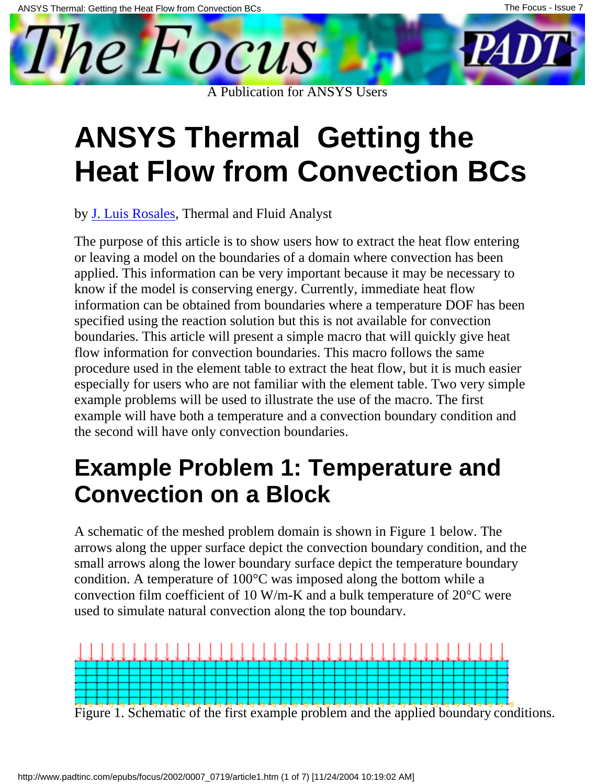<span id="page-1-0"></span>

## **ANSYS Thermal Getting the Heat Flow from Convection BCs**

by [J. Luis Rosales,](mailto:luis.rosales@padtinc.com) Thermal and Fluid Analyst

The purpose of this article is to show users how to extract the heat flow entering or leaving a model on the boundaries of a domain where convection has been applied. This information can be very important because it may be necessary to know if the model is conserving energy. Currently, immediate heat flow information can be obtained from boundaries where a temperature DOF has been specified using the reaction solution but this is not available for convection boundaries. This article will present a simple macro that will quickly give heat flow information for convection boundaries. This macro follows the same procedure used in the element table to extract the heat flow, but it is much easier especially for users who are not familiar with the element table. Two very simple example problems will be used to illustrate the use of the macro. The first example will have both a temperature and a convection boundary condition and the second will have only convection boundaries.

#### **Example Problem 1: Temperature and Convection on a Block**

A schematic of the meshed problem domain is shown in Figure 1 below. The arrows along the upper surface depict the convection boundary condition, and the small arrows along the lower boundary surface depict the temperature boundary condition. A temperature of 100°C was imposed along the bottom while a convection film coefficient of 10 W/m-K and a bulk temperature of 20°C were used to simulate natural convection along the top boundary.



Figure 1. Schematic of the first example problem and the applied boundary conditions.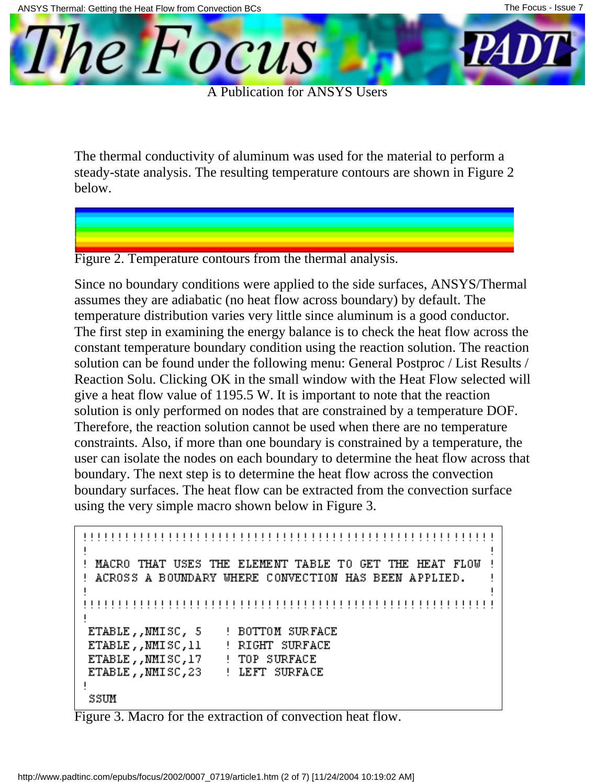The *Focus* 

A Publication for ANSYS Users

The thermal conductivity of aluminum was used for the material to perform a steady-state analysis. The resulting temperature contours are shown in Figure 2 below.

Figure 2. Temperature contours from the thermal analysis.

Since no boundary conditions were applied to the side surfaces, ANSYS/Thermal assumes they are adiabatic (no heat flow across boundary) by default. The temperature distribution varies very little since aluminum is a good conductor. The first step in examining the energy balance is to check the heat flow across the constant temperature boundary condition using the reaction solution. The reaction solution can be found under the following menu: General Postproc / List Results / Reaction Solu. Clicking OK in the small window with the Heat Flow selected will give a heat flow value of 1195.5 W. It is important to note that the reaction solution is only performed on nodes that are constrained by a temperature DOF. Therefore, the reaction solution cannot be used when there are no temperature constraints. Also, if more than one boundary is constrained by a temperature, the user can isolate the nodes on each boundary to determine the heat flow across that boundary. The next step is to determine the heat flow across the convection boundary surfaces. The heat flow can be extracted from the convection surface using the very simple macro shown below in Figure 3.

```
! MACRO THAT USES THE ELEMENT TABLE TO GET THE HEAT FLOW
! ACROSS A BOUNDARY WHERE CONVECTION HAS BEEN APPLIED.
ETABLE,, NMISC, 5
               ! BOTTOM SURFACE
ETABLE,, NMISC, 11
               ! RIGHT SURFACE
ETABLE,, NMISC, 17
               ! TOP SURFACE
ETABLE, , NMISC, 23 : LEFT SURFACE
\overline{\phantom{a}}SSUM
```
Figure 3. Macro for the extraction of convection heat flow.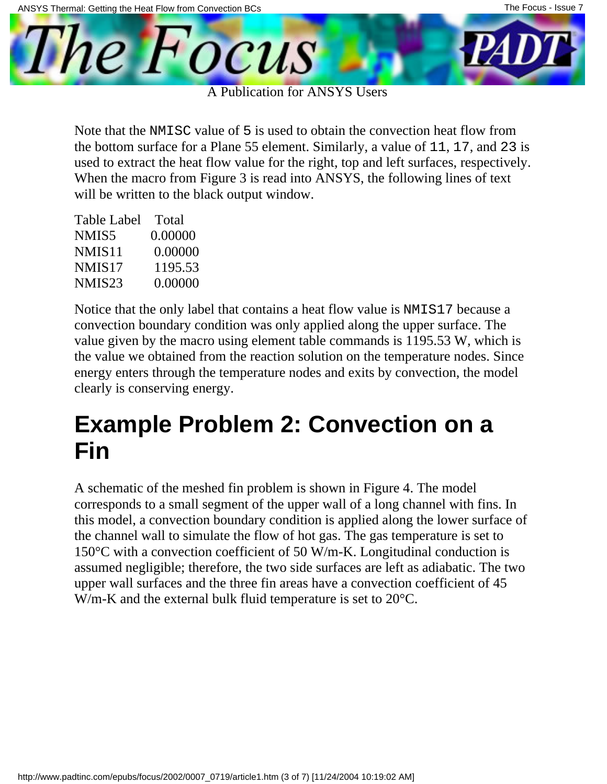

A Publication for ANSYS Users

Note that the NMISC value of 5 is used to obtain the convection heat flow from the bottom surface for a Plane 55 element. Similarly, a value of 11, 17, and 23 is used to extract the heat flow value for the right, top and left surfaces, respectively. When the macro from Figure 3 is read into ANSYS, the following lines of text will be written to the black output window.

| Table Label        | Total   |
|--------------------|---------|
| NMIS5              | 0.00000 |
| NMIS <sub>11</sub> | 0.00000 |
| NMIS <sub>17</sub> | 1195.53 |
| NMIS <sub>23</sub> | 0.00000 |

Notice that the only label that contains a heat flow value is NMIS17 because a convection boundary condition was only applied along the upper surface. The value given by the macro using element table commands is 1195.53 W, which is the value we obtained from the reaction solution on the temperature nodes. Since energy enters through the temperature nodes and exits by convection, the model clearly is conserving energy.

#### **Example Problem 2: Convection on a Fin**

A schematic of the meshed fin problem is shown in Figure 4. The model corresponds to a small segment of the upper wall of a long channel with fins. In this model, a convection boundary condition is applied along the lower surface of the channel wall to simulate the flow of hot gas. The gas temperature is set to 150°C with a convection coefficient of 50 W/m-K. Longitudinal conduction is assumed negligible; therefore, the two side surfaces are left as adiabatic. The two upper wall surfaces and the three fin areas have a convection coefficient of 45 W/m-K and the external bulk fluid temperature is set to 20°C.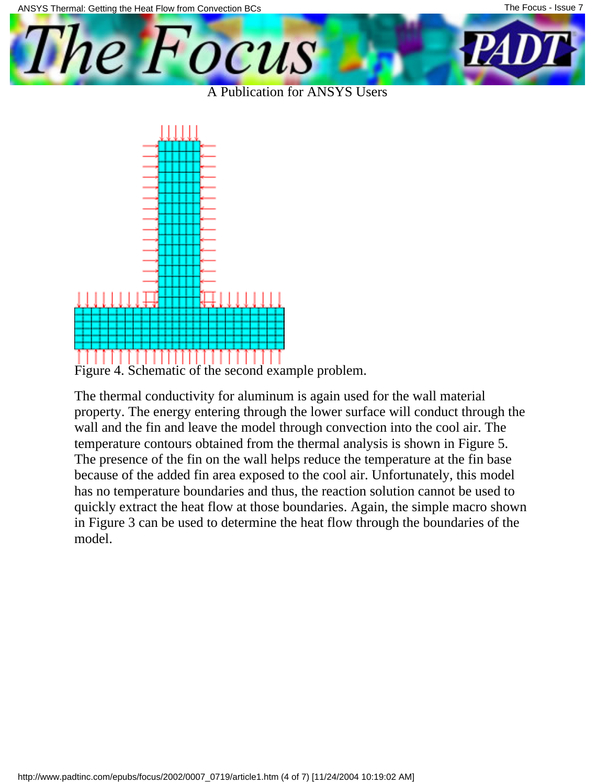

A Publication for ANSYS Users



Figure 4. Schematic of the second example problem.

The thermal conductivity for aluminum is again used for the wall material property. The energy entering through the lower surface will conduct through the wall and the fin and leave the model through convection into the cool air. The temperature contours obtained from the thermal analysis is shown in Figure 5. The presence of the fin on the wall helps reduce the temperature at the fin base because of the added fin area exposed to the cool air. Unfortunately, this model has no temperature boundaries and thus, the reaction solution cannot be used to quickly extract the heat flow at those boundaries. Again, the simple macro shown in Figure 3 can be used to determine the heat flow through the boundaries of the model.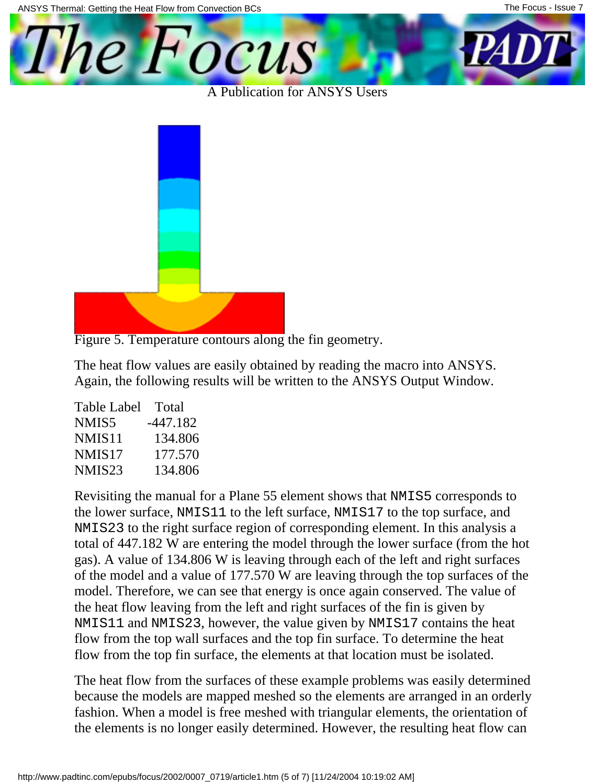

A Publication for ANSYS Users



Figure 5. Temperature contours along the fin geometry.

The heat flow values are easily obtained by reading the macro into ANSYS. Again, the following results will be written to the ANSYS Output Window.

| Table Label        | Total    |
|--------------------|----------|
| NMIS5              | -447.182 |
| NMIS <sub>11</sub> | 134.806  |
| NMIS <sub>17</sub> | 177.570  |
| NMIS <sub>23</sub> | 134.806  |

Revisiting the manual for a Plane 55 element shows that NMIS5 corresponds to the lower surface, NMIS11 to the left surface, NMIS17 to the top surface, and NMIS23 to the right surface region of corresponding element. In this analysis a total of 447.182 W are entering the model through the lower surface (from the hot gas). A value of 134.806 W is leaving through each of the left and right surfaces of the model and a value of 177.570 W are leaving through the top surfaces of the model. Therefore, we can see that energy is once again conserved. The value of the heat flow leaving from the left and right surfaces of the fin is given by NMIS11 and NMIS23, however, the value given by NMIS17 contains the heat flow from the top wall surfaces and the top fin surface. To determine the heat flow from the top fin surface, the elements at that location must be isolated.

The heat flow from the surfaces of these example problems was easily determined because the models are mapped meshed so the elements are arranged in an orderly fashion. When a model is free meshed with triangular elements, the orientation of the elements is no longer easily determined. However, the resulting heat flow can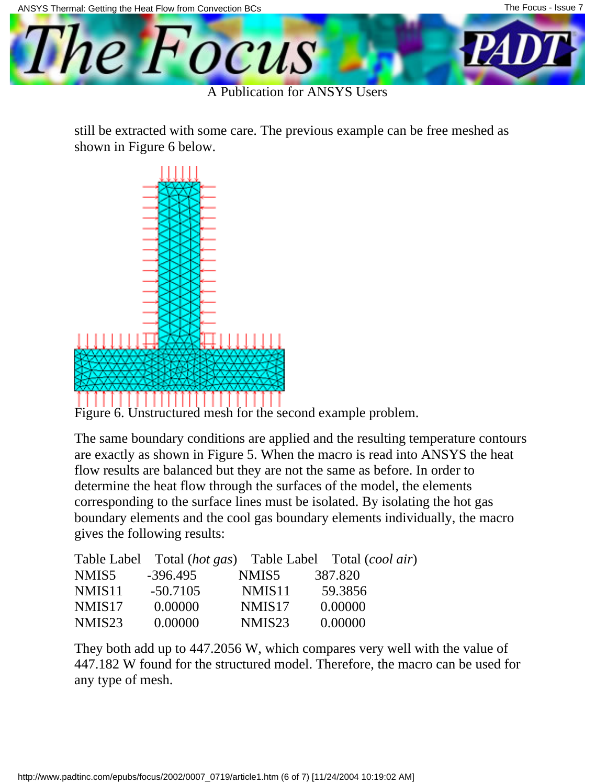

A Publication for ANSYS Users

still be extracted with some care. The previous example can be free meshed as shown in Figure 6 below.



Figure 6. Unstructured mesh for the second example problem.

The same boundary conditions are applied and the resulting temperature contours are exactly as shown in Figure 5. When the macro is read into ANSYS the heat flow results are balanced but they are not the same as before. In order to determine the heat flow through the surfaces of the model, the elements corresponding to the surface lines must be isolated. By isolating the hot gas boundary elements and the cool gas boundary elements individually, the macro gives the following results:

|                    |            |                    | Table Label Total (hot gas) Table Label Total (cool air) |
|--------------------|------------|--------------------|----------------------------------------------------------|
| NMIS5              | $-396.495$ | NMIS5              | 387.820                                                  |
| NMIS <sub>11</sub> | $-50.7105$ | NMIS <sub>11</sub> | 59.3856                                                  |
| NMIS <sub>17</sub> | 0.00000    | NMIS <sub>17</sub> | 0.00000                                                  |
| NMIS <sub>23</sub> | 0.00000    | NMIS <sub>23</sub> | 0.00000                                                  |

They both add up to 447.2056 W, which compares very well with the value of 447.182 W found for the structured model. Therefore, the macro can be used for any type of mesh.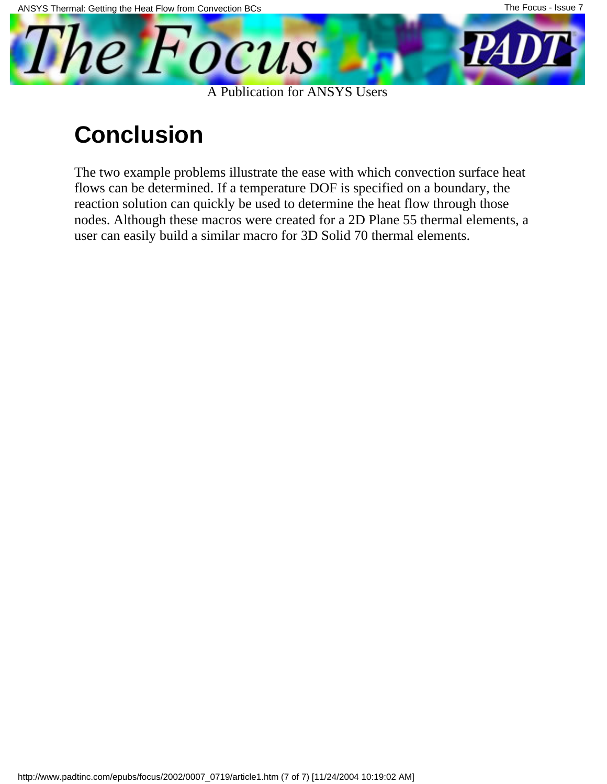

#### **Conclusion**

The two example problems illustrate the ease with which convection surface heat flows can be determined. If a temperature DOF is specified on a boundary, the reaction solution can quickly be used to determine the heat flow through those nodes. Although these macros were created for a 2D Plane 55 thermal elements, a user can easily build a similar macro for 3D Solid 70 thermal elements.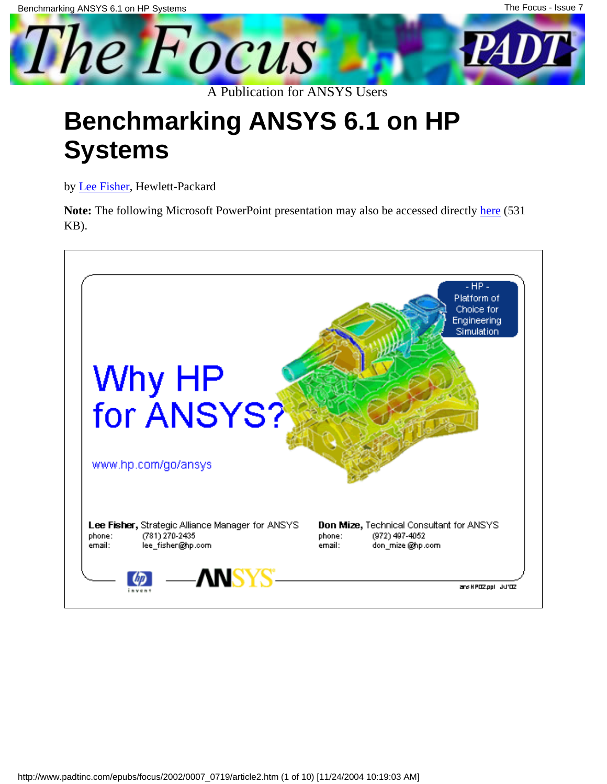<span id="page-8-0"></span>

### **Benchmarking ANSYS 6.1 on HP Systems**

by [Lee Fisher,](mailto:lee_fisher@hp.com) Hewlett-Packard

**Note:** The following Microsoft PowerPoint presentation may also be accessed directly [here](http://www.padtinc.com/epubs/focus/2002/0007_0719/imgs2/hpans02.ppt) (531 KB).

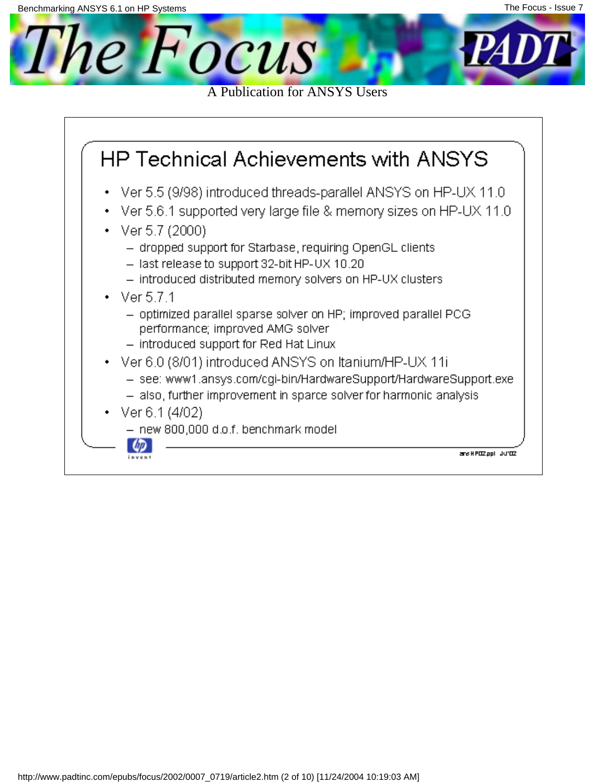

- new 800,000 d.o.f. benchmark model



ans H POZ ppl UU'OZ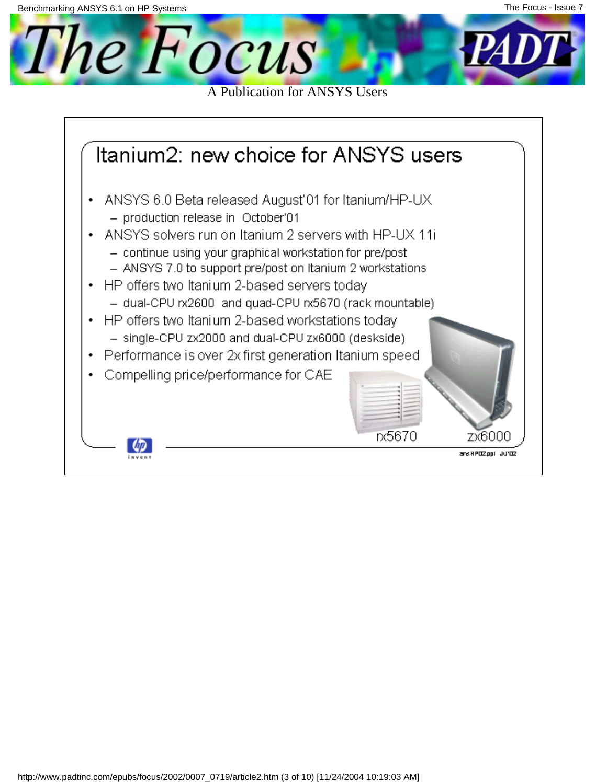

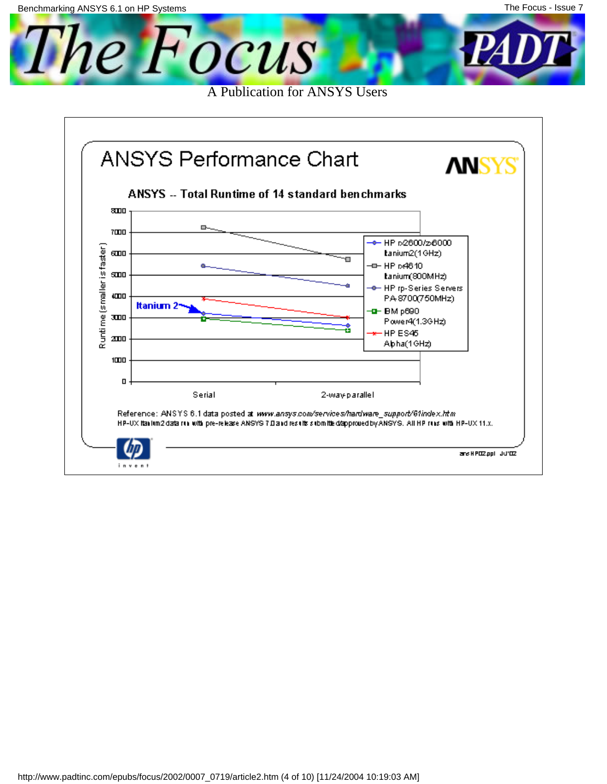The Focus A Publication for ANSYS Users

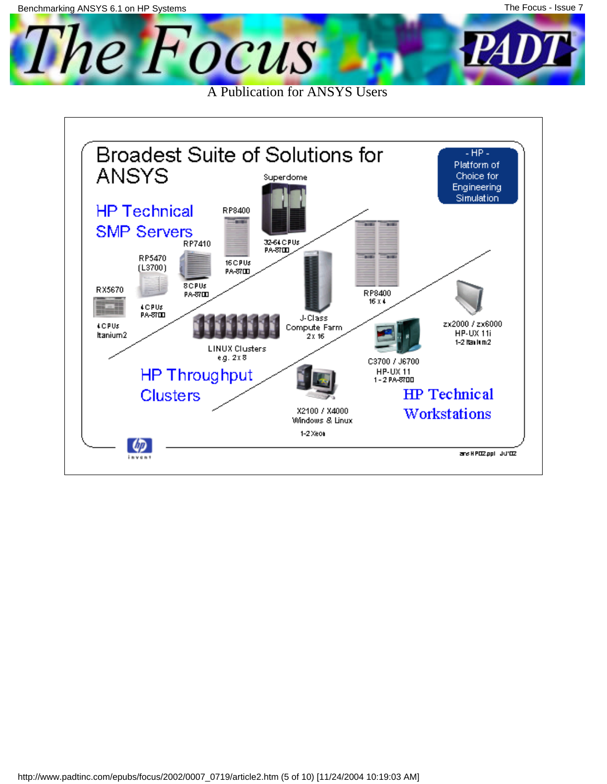The Focus

A Publication for ANSYS Users

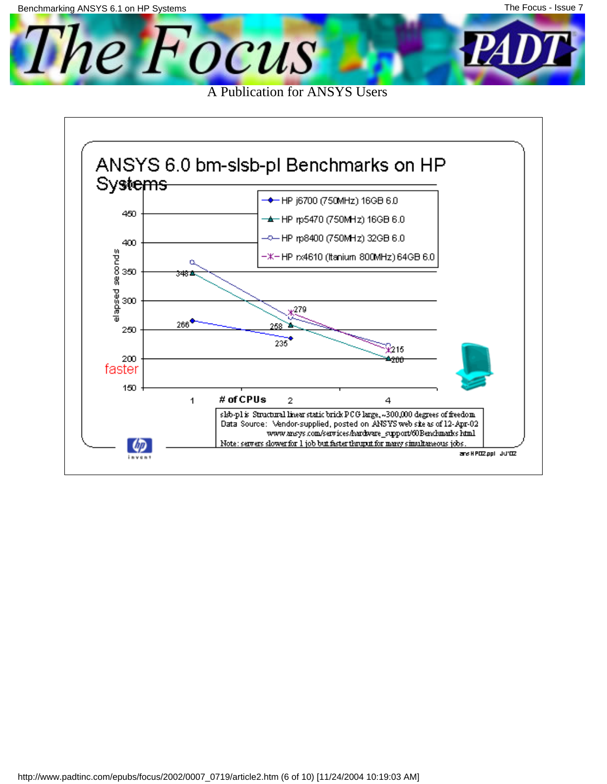The Focus A Publication for ANSYS Users

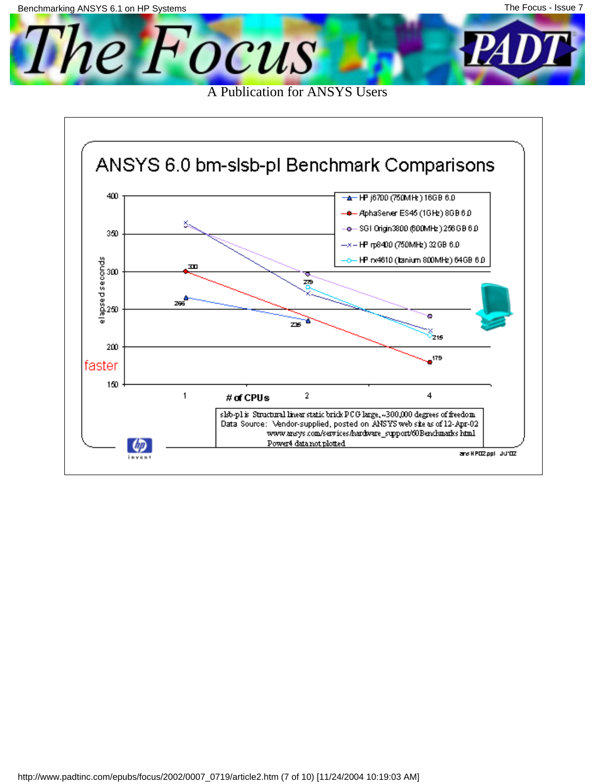l'he Focus A Publication for ANSYS Users

ANSYS 6.0 bm-slsb-pl Benchmark Comparisons 400 **A** HP j6700 (750MHz) 16GB 6.0 + AphaServer ES45 (1GHz) 8GB 6D × -o— SGI Origin3800 (600MHz ) 256GB 6.0. 350 -x-HP rp8400 (750MHz) 32 GB 6.0 HP rx4610 (tanium 800MHz) 64GB 6.0 elapsed seconds<br>elapsed seconds<br>elapsed m ZΘ 266 c Z¥ 215 200  $\bullet$ <sup>179</sup> faster 150  $\mathbf{1}$ 2 4 # of CPUs slsb-pl is Structural linear static brick PCG large, ~300,000 degrees of freedom Data Source: Vendor-supplied, posted on ANSYS web site as of 12-Apr-02 www.ansys.com/services/hardware\_support/60Benchmarks.html Power4 data not plotted **Up** ans H POZ ppl UU'OZ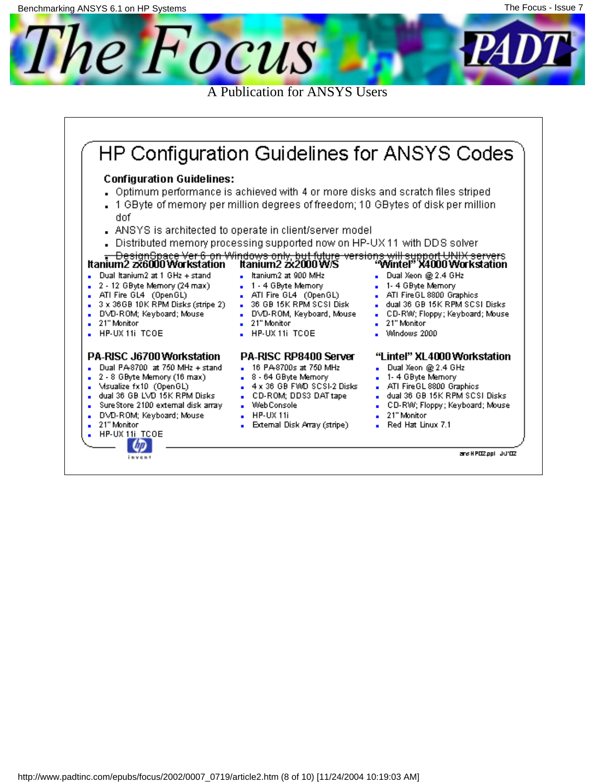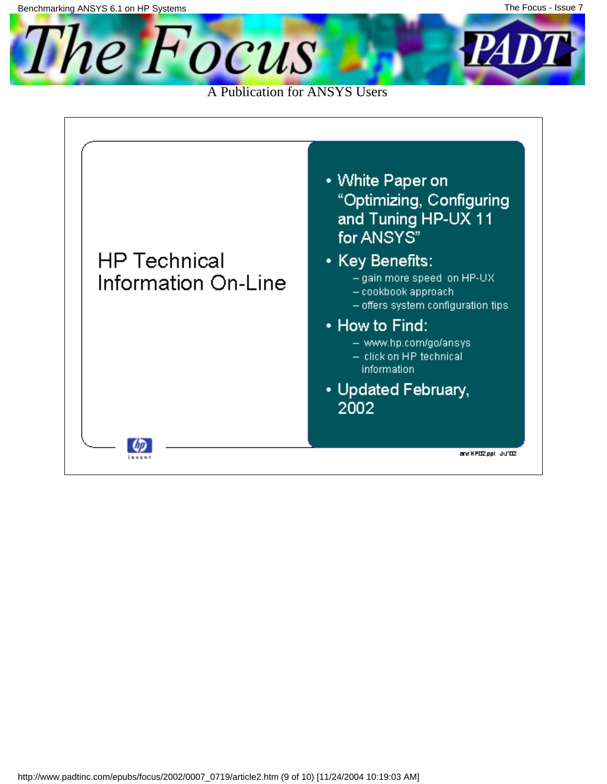The Focus

A Publication for ANSYS Users

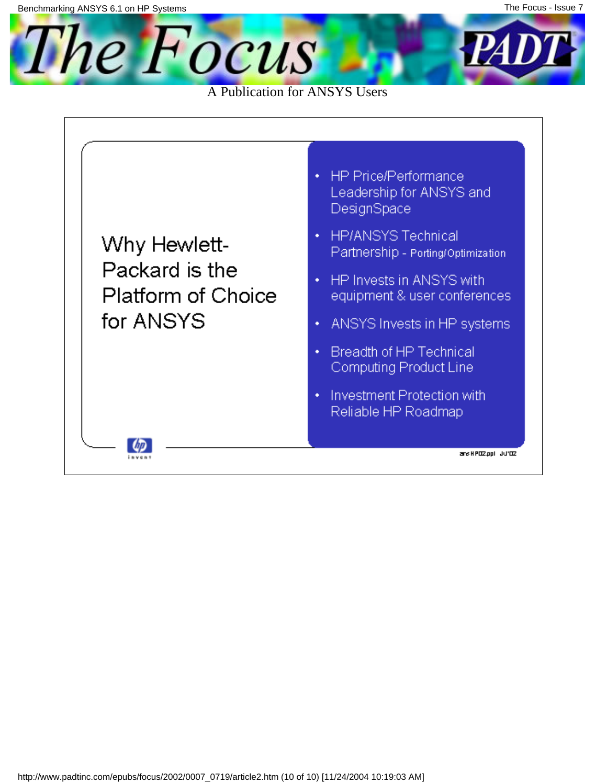

A Publication for ANSYS Users

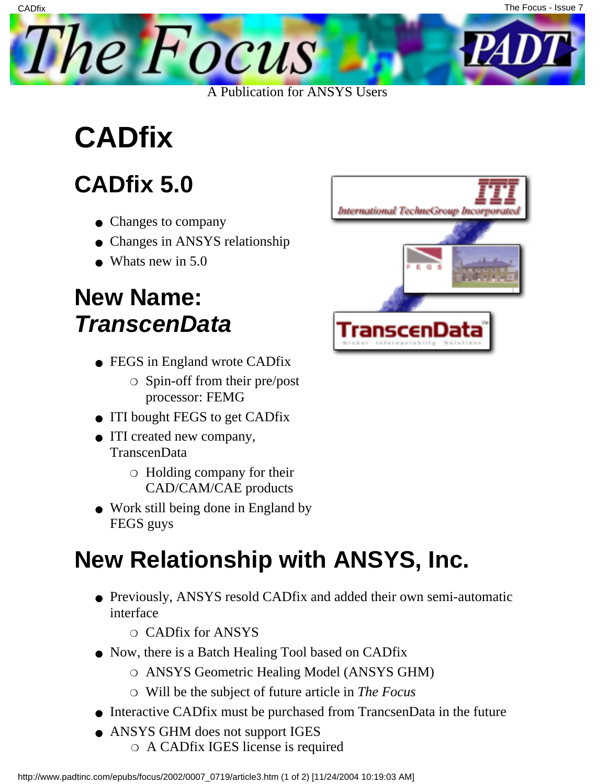<span id="page-18-0"></span>

## **CADfix**

**CADfix** 

### **CADfix 5.0**

- Changes to company
- Changes in ANSYS relationship
- $\bullet$  What s new in 5.0

#### **New Name: TranscenData**

- FEGS in England wrote CADfix
	- $\circ$  Spin-off from their pre/post processor: FEMG
- ITI bought FEGS to get CADfix
- ITI created new company, TranscenData
	- $\circ$  Holding company for their CAD/CAM/CAE products
- Work still being done in England by FEGS guys

#### **New Relationship with ANSYS, Inc.**

- Previously, ANSYS resold CADfix and added their own semi-automatic interface
	- ❍ CADfix for ANSYS
- Now, there is a Batch Healing Tool based on CADfix
	- ❍ ANSYS Geometric Healing Model (ANSYS GHM)
	- ❍ Will be the subject of future article in *The Focus*
- Interactive CADfix must be purchased from TrancsenData in the future
- ANSYS GHM does not support IGES ❍ A CADfix IGES license is required

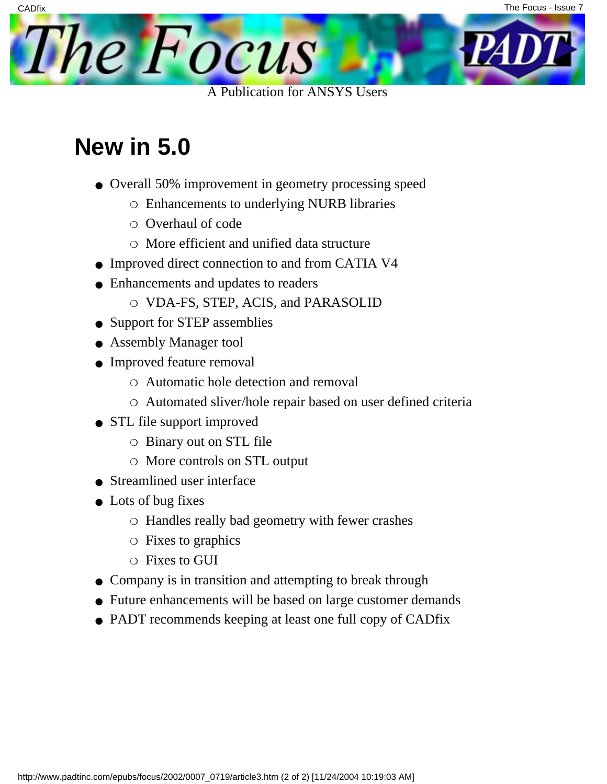

#### **New in 5.0**

**CADfix** 

- Overall 50% improvement in geometry processing speed
	- ❍ Enhancements to underlying NURB libraries
	- ❍ Overhaul of code
	- ❍ More efficient and unified data structure
- Improved direct connection to and from CATIA V4
- Enhancements and updates to readers
	- ❍ VDA-FS, STEP, ACIS, and PARASOLID
- Support for STEP assemblies
- Assembly Manager tool
- Improved feature removal
	- ❍ Automatic hole detection and removal
	- ❍ Automated sliver/hole repair based on user defined criteria
- STL file support improved
	- ❍ Binary out on STL file
	- ❍ More controls on STL output
- Streamlined user interface
- Lots of bug fixes
	- ❍ Handles really bad geometry with fewer crashes
	- ❍ Fixes to graphics
	- ❍ Fixes to GUI
- Company is in transition and attempting to break through
- Future enhancements will be based on large customer demands
- PADT recommends keeping at least one full copy of CADfix